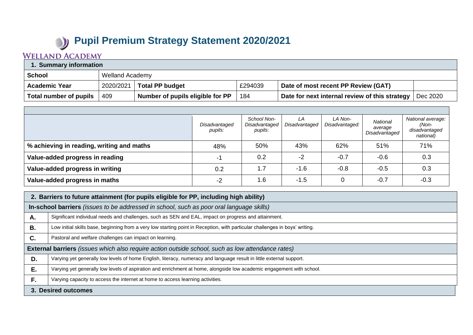## **Pupil Premium Strategy Statement 2020/2021**

## **WELLAND ACADEMY**

| 1. Summary information |           |                                  |         |                                                |          |  |  |
|------------------------|-----------|----------------------------------|---------|------------------------------------------------|----------|--|--|
| ∣ School               |           | Welland Academy                  |         |                                                |          |  |  |
| <b>Academic Year</b>   | 2020/2021 | <b>Total PP budget</b>           | £294039 | Date of most recent PP Review (GAT)            |          |  |  |
| Total number of pupils | 409       | Number of pupils eligible for PP | 184     | Date for next internal review of this strategy | Dec 2020 |  |  |

|                                           | Disadvantaged<br>pupils: | School Non-<br>Disadvantaged<br>pupils: | LA<br>Disadvantaged | LA Non-<br>Disadvantaged: | National<br>average<br>Disadvantaged | National average:<br>(Non-<br>disadvantaged<br>national) |
|-------------------------------------------|--------------------------|-----------------------------------------|---------------------|---------------------------|--------------------------------------|----------------------------------------------------------|
| % achieving in reading, writing and maths | 48%                      | 50%                                     | 43%                 | 62%                       | 51%                                  | 71%                                                      |
| Value-added progress in reading           | -1                       | 0.2                                     | $-2$                | $-0.7$                    | $-0.6$                               | 0.3                                                      |
| Value-added progress in writing           | 0.2                      | 1.7                                     | $-1.6$              | $-0.8$                    | $-0.5$                               | 0.3                                                      |
| Value-added progress in maths             | $-2$                     | 1.6                                     | $-1.5$              | $\mathbf 0$               | $-0.7$                               | $-0.3$                                                   |

|    | 2. Barriers to future attainment (for pupils eligible for PP, including high ability)                                        |  |  |  |
|----|------------------------------------------------------------------------------------------------------------------------------|--|--|--|
|    | In-school barriers (issues to be addressed in school, such as poor oral language skills)                                     |  |  |  |
| Α. | Significant individual needs and challenges, such as SEN and EAL, impact on progress and attainment.                         |  |  |  |
| В. | Low initial skills base, beginning from a very low starting point in Reception, with particular challenges in boys' writing. |  |  |  |
| C. | Pastoral and welfare challenges can impact on learning.                                                                      |  |  |  |
|    | <b>External barriers</b> (issues which also require action outside school, such as low attendance rates)                     |  |  |  |
| D. | Varying yet generally low levels of home English, literacy, numeracy and language result in little external support.         |  |  |  |
| Ε. | Varying yet generally low levels of aspiration and enrichment at home, alongside low academic engagement with school.        |  |  |  |
| F. | Varying capacity to access the internet at home to access learning activities.                                               |  |  |  |
|    | 3. Desired outcomes                                                                                                          |  |  |  |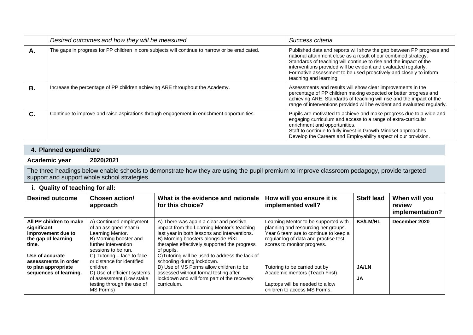|    | Desired outcomes and how they will be measured                                                  | Success criteria                                                                                                                                                                                                                                                                                                                                                               |
|----|-------------------------------------------------------------------------------------------------|--------------------------------------------------------------------------------------------------------------------------------------------------------------------------------------------------------------------------------------------------------------------------------------------------------------------------------------------------------------------------------|
| А. | The gaps in progress for PP children in core subjects will continue to narrow or be eradicated. | Published data and reports will show the gap between PP progress and<br>national attainment close as a result of our combined strategy.<br>Standards of teaching will continue to rise and the impact of the<br>interventions provided will be evident and evaluated regularly.<br>Formative assessment to be used proactively and closely to inform<br>teaching and learning. |
| В. | Increase the percentage of PP children achieving ARE throughout the Academy.                    | Assessments and results will show clear improvements in the<br>percentage of PP children making expected or better progress and<br>achieving ARE. Standards of teaching will rise and the impact of the<br>range of interventions provided will be evident and evaluated regularly.                                                                                            |
| C. | Continue to improve and raise aspirations through engagement in enrichment opportunities.       | Pupils are motivated to achieve and make progress due to a wide and<br>engaging curriculum and access to a range of extra-curricular<br>enrichment and opportunities.<br>Staff to continue to fully invest in Growth Mindset approaches.<br>Develop the Careers and Employability aspect of our provision.                                                                     |

## **4. Planned expenditure**

**Academic year 2020/2021**

The three headings below enable schools to demonstrate how they are using the pupil premium to improve classroom pedagogy, provide targeted support and support whole school strategies.

| i. Quality of teaching for all:                                                                                                         |                                                                                                                                                                                                             |                                                                                                                                                                                                                                                                                                                            |                                                                                                                                                                                              |                     |                                            |  |  |
|-----------------------------------------------------------------------------------------------------------------------------------------|-------------------------------------------------------------------------------------------------------------------------------------------------------------------------------------------------------------|----------------------------------------------------------------------------------------------------------------------------------------------------------------------------------------------------------------------------------------------------------------------------------------------------------------------------|----------------------------------------------------------------------------------------------------------------------------------------------------------------------------------------------|---------------------|--------------------------------------------|--|--|
| <b>Desired outcome</b>                                                                                                                  | Chosen action/<br>approach                                                                                                                                                                                  | What is the evidence and rationale<br>for this choice?                                                                                                                                                                                                                                                                     | How will you ensure it is<br>implemented well?                                                                                                                                               | <b>Staff lead</b>   | When will you<br>review<br>implementation? |  |  |
| All PP children to make<br>significant<br>improvement due to<br>the gap of learning<br>time.<br>Use of accurate<br>assessments in order | A) Continued employment<br>of an assigned Year 6<br>Learning Mentor.<br>B) Morning booster and<br>further intervention<br>sessions to be run.<br>C) Tutoring $-$ face to face<br>or distance for identified | A) There was again a clear and positive<br>impact from the Learning Mentor's teaching<br>last year in both lessons and interventions.<br>B) Morning boosters alongside PiXL<br>therapies effectively supported the progress<br>of pupils.<br>C) Tutoring will be used to address the lack of<br>schooling during lockdown. | Learning Mentor to be supported with<br>planning and resourcing her groups.<br>Year 6 team are to continue to keep a<br>regular log of data and practise test<br>scores to monitor progress. | <b>KS/LM/HL</b>     | December 2020                              |  |  |
| to plan appropriate<br>sequences of learning.                                                                                           | children<br>D) Use of efficient systems<br>of assessment (Low stake)<br>testing through the use of<br>MS Forms)                                                                                             | D) Use of MS Forms allow children to be<br>assessed without formal testing after<br>lockdown and will form part of the recovery<br>curriculum.                                                                                                                                                                             | Tutoring to be carried out by<br>Academic mentors (Teach First)<br>Laptops will be needed to allow<br>children to access MS Forms.                                                           | <b>JA/LN</b><br>JA. |                                            |  |  |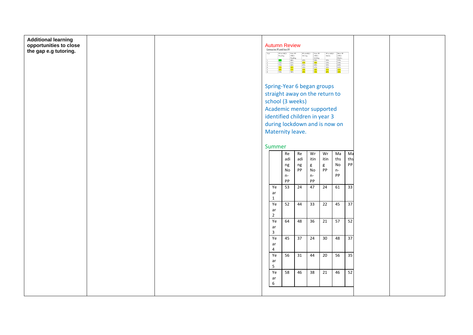| Non-PP<br>ARE/+<br>Maths<br>57%<br>59%<br>62%<br>62%<br>62%<br>Reading<br>$\begin{array}{r l}\n\text{Ake},\text{*} & \text{Writing} \\ \hline\n\text{50%} & \text{58%} \\ \hline\n\text{49%} & \text{49%} \\ \hline\n\end{array}$<br>$\begin{array}{r}42\% \\ \hline 47\% \\ 45\% \\ 39\% \\ \hline 39\% \\ \hline 36\% \end{array}$<br>$\begin{array}{r} 55\% \\ 53\% \\ 51\% \\ 54\% \\ 58\% \\ \hline \end{array}$<br>$\begin{array}{r} 48\% \\ 65\% \\ 64\% \\ \hline 66\% \\ \hline 63\% \end{array}$<br>$47%$<br>58% |  |
|----------------------------------------------------------------------------------------------------------------------------------------------------------------------------------------------------------------------------------------------------------------------------------------------------------------------------------------------------------------------------------------------------------------------------------------------------------------------------------------------------------------------------|--|
| Spring-Year 6 began groups                                                                                                                                                                                                                                                                                                                                                                                                                                                                                                 |  |
| straight away on the return to                                                                                                                                                                                                                                                                                                                                                                                                                                                                                             |  |
| school (3 weeks)                                                                                                                                                                                                                                                                                                                                                                                                                                                                                                           |  |
| Academic mentor supported<br>identified children in year 3                                                                                                                                                                                                                                                                                                                                                                                                                                                                 |  |
| during lockdown and is now on                                                                                                                                                                                                                                                                                                                                                                                                                                                                                              |  |
| Maternity leave.                                                                                                                                                                                                                                                                                                                                                                                                                                                                                                           |  |
|                                                                                                                                                                                                                                                                                                                                                                                                                                                                                                                            |  |
| Summer                                                                                                                                                                                                                                                                                                                                                                                                                                                                                                                     |  |
| Wr<br>Wr<br>Ma<br>Ma<br>Re<br>Re<br>ths<br>itin<br>adi<br>adi<br>itin<br>ths                                                                                                                                                                                                                                                                                                                                                                                                                                               |  |
| $\operatorname{\mathsf{No}}$<br>PP<br>$ng$<br>$\mathsf g$<br>$\mathsf g$<br>ng                                                                                                                                                                                                                                                                                                                                                                                                                                             |  |
| PP<br>PP<br>$\operatorname{\mathsf{No}}$<br>$n-$<br>No<br>PP<br>$n-$<br>$n-$                                                                                                                                                                                                                                                                                                                                                                                                                                               |  |
| PP<br>PP<br>47<br>24<br>61<br>53<br>24<br>33                                                                                                                                                                                                                                                                                                                                                                                                                                                                               |  |
| Ye<br>$\operatorname{\sf ar}$<br>$\mathbf{1}$                                                                                                                                                                                                                                                                                                                                                                                                                                                                              |  |
| Ye<br>33<br>22<br>45<br>52<br>44<br>$\overline{37}$<br>ar<br>$\overline{2}$                                                                                                                                                                                                                                                                                                                                                                                                                                                |  |
| Ye<br>36<br>21<br>57<br>52<br>64<br>48<br>ar                                                                                                                                                                                                                                                                                                                                                                                                                                                                               |  |
| 3<br>Ye<br>37<br>45<br>$\overline{37}$<br>24<br>30<br>48                                                                                                                                                                                                                                                                                                                                                                                                                                                                   |  |
| ar<br>4                                                                                                                                                                                                                                                                                                                                                                                                                                                                                                                    |  |
| Ye<br>20<br>56<br>35<br>56<br>31<br>44<br>ar<br>5                                                                                                                                                                                                                                                                                                                                                                                                                                                                          |  |
| 52<br>46<br>38<br>21<br>46<br>Ye<br>58<br>ar                                                                                                                                                                                                                                                                                                                                                                                                                                                                               |  |
| 6                                                                                                                                                                                                                                                                                                                                                                                                                                                                                                                          |  |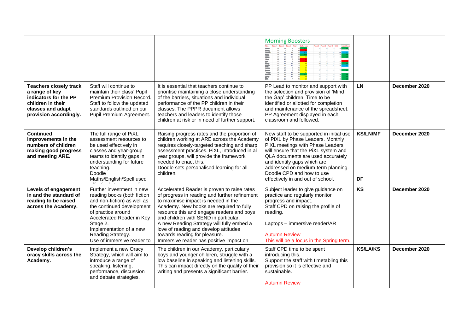|                                                                                                                                              |                                                                                                                                                                                                                                                                   |                                                                                                                                                                                                                                                                                                                                                                                                                                         | <b>Morning Boosters</b><br><b>MARTIN</b><br>$\equiv$                                                                                                                                                                                                                                                                                  |                       |               |
|----------------------------------------------------------------------------------------------------------------------------------------------|-------------------------------------------------------------------------------------------------------------------------------------------------------------------------------------------------------------------------------------------------------------------|-----------------------------------------------------------------------------------------------------------------------------------------------------------------------------------------------------------------------------------------------------------------------------------------------------------------------------------------------------------------------------------------------------------------------------------------|---------------------------------------------------------------------------------------------------------------------------------------------------------------------------------------------------------------------------------------------------------------------------------------------------------------------------------------|-----------------------|---------------|
| <b>Teachers closely track</b><br>a range of key<br>indicators for the PP<br>children in their<br>classes and adapt<br>provision accordingly. | Staff will continue to<br>maintain their class' Pupil<br>Premium Provision Record.<br>Staff to follow the updated<br>standards outlined on our<br>Pupil Premium Agreement.                                                                                        | It is essential that teachers continue to<br>prioritise maintaining a close understanding<br>of the barriers, situations and individual<br>performance of the PP children in their<br>classes. The PPPR document allows<br>teachers and leaders to identify those<br>children at risk or in need of further support.                                                                                                                    | PP Lead to monitor and support with<br>the selection and provision of 'Mind<br>the Gap' children. Time to be<br>identified or allotted for completion<br>and maintenance of the spreadsheet.<br>PP Agreement displayed in each<br>classroom and followed.                                                                             | LN                    | December 2020 |
| <b>Continued</b><br>improvements in the<br>numbers of children<br>making good progress<br>and meeting ARE.                                   | The full range of PiXL<br>assessment resources to<br>be used effectively in<br>classes and year-group<br>teams to identify gaps in<br>understanding for future<br>teaching.<br>Doodle<br>Maths/English/Spell used                                                 | Raising progress rates and the proportion of<br>children working at ARE across the Academy<br>requires closely-targeted teaching and sharp<br>assessment practices. PiXL, introduced in all<br>year groups, will provide the framework<br>needed to enact this.<br>Doodle sets personalised learning for all<br>children.                                                                                                               | New staff to be supported in initial use<br>of PiXL by Phase Leaders. Monthly<br>PiXL meetings with Phase Leaders<br>will ensure that the PiXL system and<br>QLA documents are used accurately<br>and identify gaps which are<br>addressed on medium-term planning.<br>Doodle CPD and how to use<br>effectively in and out of school. | <b>KS/LN/MF</b><br>DF | December 2020 |
| Levels of engagement<br>in and the standard of<br>reading to be raised<br>across the Academy.                                                | Further investment in new<br>reading books (both fiction<br>and non-fiction) as well as<br>the continued development<br>of practice around<br>Accelerated Reader in Key<br>Stage 2.<br>Implementation of a new<br>Reading Strategy.<br>Use of immersive reader to | Accelerated Reader is proven to raise rates<br>of progress in reading and further refinement<br>to maximise impact is needed in the<br>Academy. New books are required to fully<br>resource this and engage readers and boys<br>and children with SEND in particular.<br>A new Reading Strategy will fully embed a<br>love of reading and develop attitudes<br>towards reading for pleasure.<br>Immersive reader has positive impact on | Subject leader to give guidance on<br>practice and regularly monitor<br>progress and impact.<br>Staff CPD on raising the profile of<br>reading.<br>Laptops - immersive reader/AR<br><b>Autumn Review</b><br>This will be a focus in the Spring term.                                                                                  | <b>KS</b>             | December 2020 |
| Develop children's<br>oracy skills across the<br>Academy.                                                                                    | Implement a new Oracy<br>Strategy, which will aim to<br>introduce a range of<br>speaking, listening,<br>performance, discussion<br>and debate strategies.                                                                                                         | The children in our Academy, particularly<br>boys and younger children, struggle with a<br>low baseline in speaking and listening skills.<br>This can impact directly on the quality of their<br>writing and presents a significant barrier.                                                                                                                                                                                            | Staff CPD time to be spent<br>introducing this.<br>Support the staff with timetabling this<br>provision so it is effective and<br>sustainable.<br><b>Autumn Review</b>                                                                                                                                                                | <b>KS/LA/KS</b>       | December 2020 |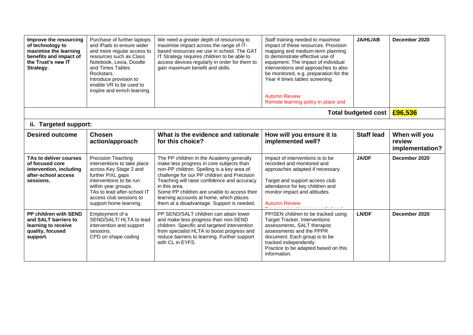| Improve the resourcing<br>of technology to<br>maximise the learning<br>benefits and impact of<br>the Trust's new IT<br>Strategy. | Purchase of further laptops<br>and iPads to ensure wider<br>and more regular access to<br>resources such as Class<br>Notebook, Lexia, Doodle<br>and Times Tables<br>Rockstars.<br>Introduce provision to<br>enable VR to be used to<br>inspire and enrich learning. | We need a greater depth of resourcing to<br>maximise impact across the range of IT-<br>based resources we use in school. The GAT<br>IT Strategy requires children to be able to<br>access devices regularly in order for them to<br>gain maximum benefit and skills.                                                                                                                      | Staff training needed to maximise<br>impact of these resources. Provision<br>mapping and medium-term planning<br>to demonstrate effective use of<br>equipment. The impact of individual<br>interventions and approaches to also<br>be monitored, e.g. preparation for the<br>Year 4 times tables screening.<br><b>Autumn Review</b><br>Remote learning policy in place and | <b>JA/HL/AB</b>     | December 2020                              |
|----------------------------------------------------------------------------------------------------------------------------------|---------------------------------------------------------------------------------------------------------------------------------------------------------------------------------------------------------------------------------------------------------------------|-------------------------------------------------------------------------------------------------------------------------------------------------------------------------------------------------------------------------------------------------------------------------------------------------------------------------------------------------------------------------------------------|----------------------------------------------------------------------------------------------------------------------------------------------------------------------------------------------------------------------------------------------------------------------------------------------------------------------------------------------------------------------------|---------------------|--------------------------------------------|
|                                                                                                                                  |                                                                                                                                                                                                                                                                     |                                                                                                                                                                                                                                                                                                                                                                                           |                                                                                                                                                                                                                                                                                                                                                                            | Total budgeted cost | £96,536                                    |
| ii. Targeted support:                                                                                                            |                                                                                                                                                                                                                                                                     |                                                                                                                                                                                                                                                                                                                                                                                           |                                                                                                                                                                                                                                                                                                                                                                            |                     |                                            |
| <b>Desired outcome</b>                                                                                                           | <b>Chosen</b><br>action/approach                                                                                                                                                                                                                                    | What is the evidence and rationale<br>for this choice?                                                                                                                                                                                                                                                                                                                                    | How will you ensure it is<br>implemented well?                                                                                                                                                                                                                                                                                                                             | <b>Staff lead</b>   | When will you<br>review<br>implementation? |
| TAs to deliver courses<br>of focused core<br>intervention, including<br>after-school access<br>sessions.                         | <b>Precision Teaching</b><br>interventions to take place<br>across Key Stage 2 and<br>further PiXL gaps<br>interventions to be run<br>within year groups.<br>TAs to lead after-school IT<br>access club sessions to<br>support home learning.                       | The PP children in the Academy generally<br>make less progress in core subjects than<br>non-PP children. Spelling is a key area of<br>challenge for our PP children and Precision<br>Teaching will raise confidence and accuracy<br>in this area.<br>Some PP children are unable to access their<br>learning accounts at home, which places<br>them at a disadvantage. Support is needed. | Impact of interventions is to be<br>recorded and monitored and<br>approaches adapted if necessary.<br>Target and support access club<br>attendance for key children and<br>monitor impact and attitudes.<br><b>Autumn Review</b><br><b>M</b> assachusetts and a statement of the and a statement and at                                                                    | <b>JA/DF</b>        | December 2020                              |
| PP children with SEND<br>and SALT barriers to<br>learning to receive<br>quality, focused<br>support.                             | Employment of a<br>SEND/SALT/ HLTA to lead<br>intervention and support<br>sessions.<br>CPD on shape coding                                                                                                                                                          | PP SEND/SALT children can attain lower<br>and make less progress than non-SEND<br>children. Specific and targeted intervention<br>from specialist HLTA to boost progress and<br>reduce barriers to learning. Further support<br>with CL in EYFS.                                                                                                                                          | PP/SEN children to be tracked using<br><b>Target Tracker, Interventions</b><br>assessments, SALT therapist<br>assessments and the PPPR<br>document. Each group is to be<br>tracked independently.<br>Practice to be adapted based on this<br>information.                                                                                                                  | LN/DF               | December 2020                              |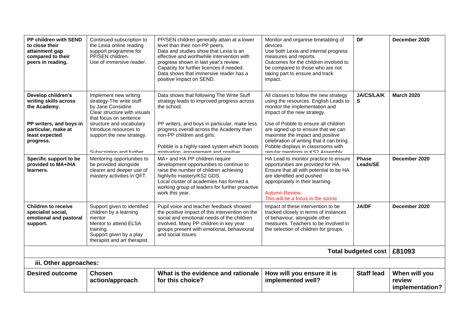| PP children with SEND<br>to close their<br>attainment gap<br>compared to their<br>peers in reading.                                          | Continued subscription to<br>the Lexia online reading<br>support programme for<br>PP/SEN children.<br>Use of immersive reader.                                                                                                                  | PP/SEN children generally attain at a lower<br>level than their non-PP peers.<br>Data and studies show that Lexia is an<br>effective and worthwhile intervention with<br>progress shown in last year's review.<br>Capacity for further licences if needed.<br>Data shows that immersive reader has a<br>positive impact on SEND. | Monitor and organise timetabling of<br>devices.<br>Use both Lexia and internal progress<br>measures and reports.<br>Outcomes for the children involved to<br>be compared to those who are not<br>taking part to ensure and track<br>impact.                                                                                                                                                | <b>DF</b>                | December 2020                              |  |  |
|----------------------------------------------------------------------------------------------------------------------------------------------|-------------------------------------------------------------------------------------------------------------------------------------------------------------------------------------------------------------------------------------------------|----------------------------------------------------------------------------------------------------------------------------------------------------------------------------------------------------------------------------------------------------------------------------------------------------------------------------------|--------------------------------------------------------------------------------------------------------------------------------------------------------------------------------------------------------------------------------------------------------------------------------------------------------------------------------------------------------------------------------------------|--------------------------|--------------------------------------------|--|--|
| Develop children's<br>writing skills across<br>the Academy.<br>PP writers, and boys in<br>particular, make at<br>least expected<br>progress. | Implement new writing<br>strategy-The write stuff<br>by Jane Considine<br>Clear structure with visuals<br>that focus on sentence<br>structure and vocabulary<br>Introduce resources to<br>support the new strategy.<br>Subscription and further | Data shows that following The Write Stuff<br>strategy leads to improved progress across<br>the school.<br>PP writers, and boys in particular, make less<br>progress overall across the Academy than<br>non-PP children and girls.<br>Pobble is a highly-rated system which boosts<br>motivation engagement and positive          | All classes to follow the new strategy<br>using the resources. English Leads to<br>monitor the implementation and<br>impact of the new strategy.<br>Use of Pobble to ensure all children<br>are signed up to ensure that we can<br>maximise the impact and positive<br>celebration of writing that it can bring.<br>Pobble displays in classrooms with<br>regular mentions in KS2 Assembly | <b>JA/CS/LA/K</b><br>S   | <b>March 2020</b>                          |  |  |
| Specific support to be<br>provided to MA+/HA<br>learners.                                                                                    | Mentoring opportunities to<br>be provided alongside<br>clearer and deeper use of<br>mastery activities in QFT.                                                                                                                                  | MA+ and HA PP children require<br>development opportunities to continue to<br>raise the number of children achieving<br>highly/to mastery/KS2 GDS.<br>Local cluster of academies has formed a<br>working group of leaders for further proactive<br>work this year.                                                               | HA Lead to monitor practice to ensure<br>opportunities are provided for HA.<br>Ensure that all with potential to be HA<br>are identified and pushed<br>appropriately in their learning.<br><b>Autumn Review</b><br>This will be a focus in the spring                                                                                                                                      | <b>Phase</b><br>Leads/SE | December 2020                              |  |  |
| <b>Children to receive</b><br>specialist social,<br>emotional and pastoral<br>support.                                                       | Support given to identified<br>children by a learning<br>mentor<br>Mentor to attend ELSA<br>training.<br>Support given by a play<br>therapist and art therapist.                                                                                | Pupil voice and teacher feedback showed<br>the positive impact of this intervention on the<br>social and emotional needs of the children<br>involved. Many PP children in key year<br>groups present with emotional, behavioural<br>and social issues.                                                                           | Impact of these intervention to be<br>tracked closely in terms of instances<br>of behaviour, alongside other<br>measures. Teachers to be involved in<br>the selection of children for groups.                                                                                                                                                                                              | <b>JA/DF</b>             | December 2020                              |  |  |
| Total budgeted cost   £81093                                                                                                                 |                                                                                                                                                                                                                                                 |                                                                                                                                                                                                                                                                                                                                  |                                                                                                                                                                                                                                                                                                                                                                                            |                          |                                            |  |  |
|                                                                                                                                              | iii. Other approaches:                                                                                                                                                                                                                          |                                                                                                                                                                                                                                                                                                                                  |                                                                                                                                                                                                                                                                                                                                                                                            |                          |                                            |  |  |
| <b>Desired outcome</b>                                                                                                                       | <b>Chosen</b><br>action/approach                                                                                                                                                                                                                | What is the evidence and rationale<br>for this choice?                                                                                                                                                                                                                                                                           | How will you ensure it is<br>implemented well?                                                                                                                                                                                                                                                                                                                                             | <b>Staff lead</b>        | When will you<br>review<br>implementation? |  |  |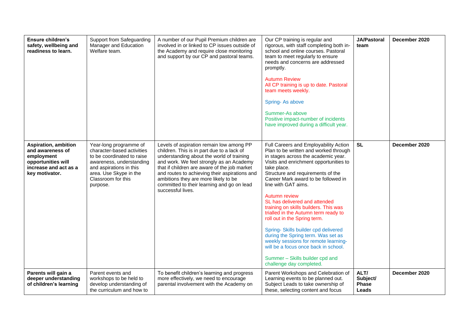| <b>Ensure children's</b><br>safety, wellbeing and<br>readiness to learn.                                                       | Support from Safeguarding<br>Manager and Education<br>Welfare team.                                                                                                                                   | A number of our Pupil Premium children are<br>involved in or linked to CP issues outside of<br>the Academy and require close monitoring<br>and support by our CP and pastoral teams.                                                                                                                                                                                                        | Our CP training is regular and<br>rigorous, with staff completing both in-<br>school and online courses. Pastoral<br>team to meet regularly to ensure<br>needs and concerns are addressed<br>promptly.<br><b>Autumn Review</b><br>All CP training is up to date. Pastoral<br>team meets weekly.<br>Spring-As above<br>Summer-As above<br>Positive impact-number of incidents<br>have improved during a difficult year.                                                                                                                                                                                                                                                            | <b>JA/Pastoral</b><br>team                | December 2020 |
|--------------------------------------------------------------------------------------------------------------------------------|-------------------------------------------------------------------------------------------------------------------------------------------------------------------------------------------------------|---------------------------------------------------------------------------------------------------------------------------------------------------------------------------------------------------------------------------------------------------------------------------------------------------------------------------------------------------------------------------------------------|-----------------------------------------------------------------------------------------------------------------------------------------------------------------------------------------------------------------------------------------------------------------------------------------------------------------------------------------------------------------------------------------------------------------------------------------------------------------------------------------------------------------------------------------------------------------------------------------------------------------------------------------------------------------------------------|-------------------------------------------|---------------|
| <b>Aspiration, ambition</b><br>and awareness of<br>employment<br>opportunities will<br>increase and act as a<br>key motivator. | Year-long programme of<br>character-based activities<br>to be coordinated to raise<br>awareness, understanding<br>and aspirations in this<br>area. Use Skype in the<br>Classroom for this<br>purpose. | Levels of aspiration remain low among PP<br>children. This is in part due to a lack of<br>understanding about the world of training<br>and work. We feel strongly as an Academy<br>that if children are aware of the job market<br>and routes to achieving their aspirations and<br>ambitions they are more likely to be<br>committed to their learning and go on lead<br>successful lives. | Full Careers and Employability Action<br>Plan to be written and worked through<br>in stages across the academic year.<br>Visits and enrichment opportunities to<br>take place.<br>Structure and requirements of the<br>Career Mark award to be followed in<br>line with GAT aims.<br>Autumn review<br>SL has delivered and attended<br>training on skills builders. This was<br>trialled in the Autumn term ready to<br>roll out in the Spring term.<br>Spring- Skills builder cpd delivered<br>during the Spring term. Was set as<br>weekly sessions for remote learning-<br>will be a focus once back in school.<br>Summer - Skills builder cpd and<br>challenge day completed. | <b>SL</b>                                 | December 2020 |
| Parents will gain a<br>deeper understanding<br>of children's learning                                                          | Parent events and<br>workshops to be held to<br>develop understanding of<br>the curriculum and how to                                                                                                 | To benefit children's learning and progress<br>more effectively, we need to encourage<br>parental involvement with the Academy on                                                                                                                                                                                                                                                           | Parent Workshops and Celebration of<br>Learning events to be planned out.<br>Subject Leads to take ownership of<br>these, selecting content and focus                                                                                                                                                                                                                                                                                                                                                                                                                                                                                                                             | ALT/<br>Subject/<br><b>Phase</b><br>Leads | December 2020 |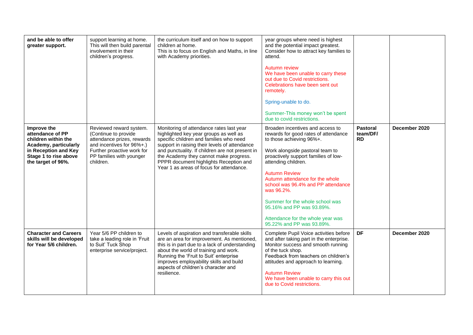| and be able to offer<br>greater support.                                                                                                               | support learning at home.<br>This will then build parental<br>involvement in their<br>children's progress.                                                                        | the curriculum itself and on how to support<br>children at home.<br>This is to focus on English and Maths, in line<br>with Academy priorities.                                                                                                                                                                                                                    | year groups where need is highest<br>and the potential impact greatest.<br>Consider how to attract key families to<br>attend.<br>Autumn review<br>We have been unable to carry these<br>out due to Covid restrictions.<br>Celebrations have been sent out<br>remotely.<br>Spring-unable to do.<br>Summer-This money won't be spent<br>due to covid restrictions.                                                                                        |                                   |               |
|--------------------------------------------------------------------------------------------------------------------------------------------------------|-----------------------------------------------------------------------------------------------------------------------------------------------------------------------------------|-------------------------------------------------------------------------------------------------------------------------------------------------------------------------------------------------------------------------------------------------------------------------------------------------------------------------------------------------------------------|---------------------------------------------------------------------------------------------------------------------------------------------------------------------------------------------------------------------------------------------------------------------------------------------------------------------------------------------------------------------------------------------------------------------------------------------------------|-----------------------------------|---------------|
| Improve the<br>attendance of PP<br>children within the<br>Academy, particularly<br>in Reception and Key<br>Stage 1 to rise above<br>the target of 96%. | Reviewed reward system.<br>(Continue to provide<br>attendance prizes, rewards<br>and incentives for 96%+.)<br>Further proactive work for<br>PP families with younger<br>children. | Monitoring of attendance rates last year<br>highlighted key year groups as well as<br>specific children and families who need<br>support in raising their levels of attendance<br>and punctuality. If children are not present in<br>the Academy they cannot make progress.<br>PPPR document highlights Reception and<br>Year 1 as areas of focus for attendance. | Broaden incentives and access to<br>rewards for good rates of attendance<br>to those achieving 96%+.<br>Work alongside pastoral team to<br>proactively support families of low-<br>attending children.<br><b>Autumn Review</b><br>Autumn attendance for the whole<br>school was 96.4% and PP attendance<br>was 96.2%.<br>Summer for the whole school was<br>95.16% and PP was 93.89%.<br>Attendance for the whole year was<br>95.22% and PP was 93.89%. | Pastoral<br>team/DF/<br><b>RD</b> | December 2020 |
| <b>Character and Careers</b><br>skills will be developed<br>for Year 5/6 children.                                                                     | Year 5/6 PP children to<br>take a leading role in 'Fruit<br>to Suit' Tuck Shop<br>enterprise service/project.                                                                     | Levels of aspiration and transferable skills<br>are an area for improvement. As mentioned,<br>this is in part due to a lack of understanding<br>about the world of training and work.<br>Running the 'Fruit to Suit' enterprise<br>improves employability skills and build<br>aspects of children's character and<br>resilience.                                  | Complete Pupil Voice activities before<br>and after taking part in the enterprise.<br>Monitor success and smooth running<br>of the tuck shop.<br>Feedback from teachers on children's<br>attitudes and approach to learning.<br><b>Autumn Review</b><br>We have been unable to carry this out<br>due to Covid restrictions.                                                                                                                             | DF                                | December 2020 |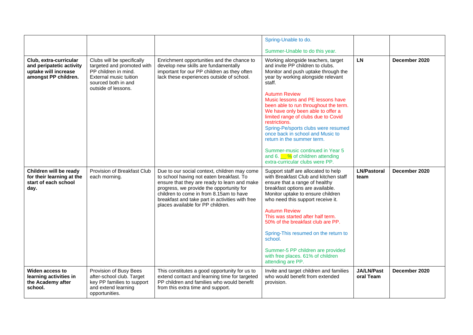|                                                                                                    |                                                                                                                                                                 |                                                                                                                                                                                                                                                                                                                         | Spring-Unable to do.                                                                                                                                                                                                                                                                                                                                                                                                                                                                                                                                                                              |                                |               |
|----------------------------------------------------------------------------------------------------|-----------------------------------------------------------------------------------------------------------------------------------------------------------------|-------------------------------------------------------------------------------------------------------------------------------------------------------------------------------------------------------------------------------------------------------------------------------------------------------------------------|---------------------------------------------------------------------------------------------------------------------------------------------------------------------------------------------------------------------------------------------------------------------------------------------------------------------------------------------------------------------------------------------------------------------------------------------------------------------------------------------------------------------------------------------------------------------------------------------------|--------------------------------|---------------|
|                                                                                                    |                                                                                                                                                                 |                                                                                                                                                                                                                                                                                                                         | Summer-Unable to do this year.                                                                                                                                                                                                                                                                                                                                                                                                                                                                                                                                                                    |                                |               |
| Club, extra-curricular<br>and peripatetic activity<br>uptake will increase<br>amongst PP children. | Clubs will be specifically<br>targeted and promoted with<br>PP children in mind.<br><b>External music tuition</b><br>sourced both in and<br>outside of lessons. | Enrichment opportunities and the chance to<br>develop new skills are fundamentally<br>important for our PP children as they often<br>lack these experiences outside of school.                                                                                                                                          | Working alongside teachers, target<br>and invite PP children to clubs.<br>Monitor and push uptake through the<br>year by working alongside relevant<br>staff.<br><b>Autumn Review</b><br>Music lessons and PE lessons have<br>been able to run throughout the term.<br>We have only been able to offer a<br>limited range of clubs due to Covid<br>restrictions.<br>Spring-Pe/sports clubs were resumed<br>once back in school and Music to<br>return in the summer term.<br>Summer-music continued in Year 5<br>and 6. $\frac{6}{10}$ % of children attending<br>extra-curricular clubs were PP. | <b>LN</b>                      | December 2020 |
| Children will be ready<br>for their learning at the<br>start of each school<br>day.                | Provision of Breakfast Club<br>each morning.                                                                                                                    | Due to our social context, children may come<br>to school having not eaten breakfast. To<br>ensure that they are ready to learn and make<br>progress, we provide the opportunity for<br>children to come in from 8.15am to have<br>breakfast and take part in activities with free<br>places available for PP children. | Support staff are allocated to help<br>with Breakfast Club and kitchen staff<br>ensure that a range of healthy<br>breakfast options are available.<br>Monitor uptake to ensure children<br>who need this support receive it.<br><b>Autumn Review</b><br>This was started after half term.<br>50% of the breakfast club are PP.<br>Spring-This resumed on the return to<br>school.<br>Summer-5 PP children are provided<br>with free places. 61% of children<br>attending are PP.                                                                                                                  | <b>LN/Pastoral</b><br>team     | December 2020 |
| Widen access to<br>learning activities in<br>the Academy after<br>school.                          | Provision of Busy Bees<br>after-school club. Target<br>key PP families to support<br>and extend learning<br>opportunities.                                      | This constitutes a good opportunity for us to<br>extend contact and learning time for targeted<br>PP children and families who would benefit<br>from this extra time and support.                                                                                                                                       | Invite and target children and families<br>who would benefit from extended<br>provision.                                                                                                                                                                                                                                                                                                                                                                                                                                                                                                          | <b>JA/LN/Past</b><br>oral Team | December 2020 |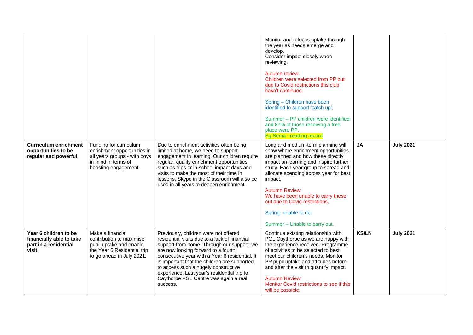|                                                                                      |                                                                                                                                      |                                                                                                                                                                                                                                                                                                                                                                                                                           | Monitor and refocus uptake through<br>the year as needs emerge and<br>develop.<br>Consider impact closely when<br>reviewing.<br><b>Autumn review</b><br>Children were selected from PP but<br>due to Covid restrictions this club<br>hasn't continued.<br>Spring - Children have been<br>identified to support 'catch up'.<br>Summer - PP children were identified<br>and 87% of those receiving a free<br>place were PP.<br>Eg Sema -reading record |              |                  |
|--------------------------------------------------------------------------------------|--------------------------------------------------------------------------------------------------------------------------------------|---------------------------------------------------------------------------------------------------------------------------------------------------------------------------------------------------------------------------------------------------------------------------------------------------------------------------------------------------------------------------------------------------------------------------|------------------------------------------------------------------------------------------------------------------------------------------------------------------------------------------------------------------------------------------------------------------------------------------------------------------------------------------------------------------------------------------------------------------------------------------------------|--------------|------------------|
| <b>Curriculum enrichment</b><br>opportunities to be<br>regular and powerful.         | Funding for curriculum<br>enrichment opportunities in<br>all years groups - with boys<br>in mind in terms of<br>boosting engagement. | Due to enrichment activities often being<br>limited at home, we need to support<br>engagement in learning. Our children require<br>regular, quality enrichment opportunities<br>such as trips or in-school impact days and<br>visits to make the most of their time in<br>lessons. Skype in the Classroom will also be<br>used in all years to deepen enrichment.                                                         | Long and medium-term planning will<br>show where enrichment opportunities<br>are planned and how these directly<br>impact on learning and inspire further<br>study. Each year group to spread and<br>allocate spending across year for best<br>impact.<br><b>Autumn Review</b><br>We have been unable to carry these<br>out due to Covid restrictions.<br>Spring- unable to do.<br>Summer - Unable to carry out.                                     | <b>JA</b>    | <b>July 2021</b> |
| Year 6 children to be<br>financially able to take<br>part in a residential<br>visit. | Make a financial<br>contribution to maximise<br>pupil uptake and enable<br>the Year 6 Residential trip<br>to go ahead in July 2021.  | Previously, children were not offered<br>residential visits due to a lack of financial<br>support from home. Through our support, we<br>are now looking forward to a fourth<br>consecutive year with a Year 6 residential. It<br>is important that the children are supported<br>to access such a hugely constructive<br>experience. Last year's residential trip to<br>Caythorpe PGL Centre was again a real<br>success. | Continue existing relationship with<br>PGL Caythorpe as we are happy with<br>the experience received. Programme<br>of activities to be selected to best<br>meet our children's needs. Monitor<br>PP pupil uptake and attitudes before<br>and after the visit to quantify impact.<br><b>Autumn Review</b><br>Monitor Covid restrictions to see if this<br>will be possible.                                                                           | <b>KS/LN</b> | <b>July 2021</b> |